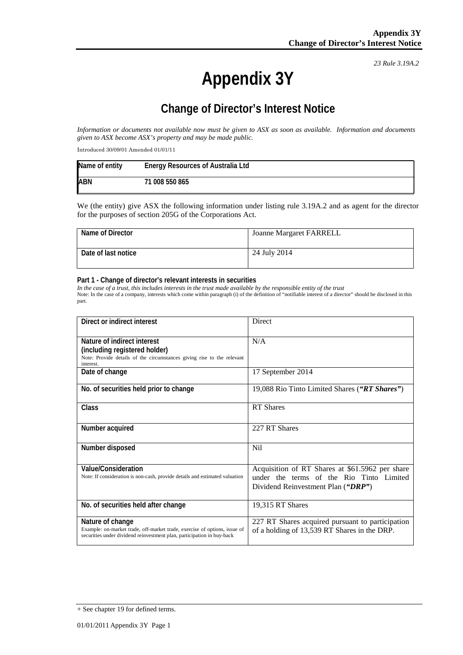*23 Rule 3.19A.2*

# **Appendix 3Y**

## **Change of Director's Interest Notice**

*Information or documents not available now must be given to ASX as soon as available. Information and documents given to ASX become ASX's property and may be made public.*

Introduced 30/09/01 Amended 01/01/11

| Name of entity | <b>Energy Resources of Australia Ltd</b> |
|----------------|------------------------------------------|
| <b>ABN</b>     | 71 008 550 865                           |

We (the entity) give ASX the following information under listing rule 3.19A.2 and as agent for the director for the purposes of section 205G of the Corporations Act.

| Name of Director    | <b>Joanne Margaret FARRELL</b> |
|---------------------|--------------------------------|
| Date of last notice | 24 July 2014                   |

#### **Part 1 - Change of director's relevant interests in securities**

*In the case of a trust, this includes interests in the trust made available by the responsible entity of the trust* Note: In the case of a company, interests which come within paragraph (i) of the definition of "notifiable interest of a director" should be disclosed in this part.

| Direct or indirect interest                                                                                                                                             | Direct                                                                                                                            |
|-------------------------------------------------------------------------------------------------------------------------------------------------------------------------|-----------------------------------------------------------------------------------------------------------------------------------|
| Nature of indirect interest<br>(including registered holder)<br>Note: Provide details of the circumstances giving rise to the relevant<br>interest.                     | N/A                                                                                                                               |
| Date of change                                                                                                                                                          | 17 September 2014                                                                                                                 |
| No. of securities held prior to change                                                                                                                                  | 19,088 Rio Tinto Limited Shares ("RT Shares")                                                                                     |
| Class                                                                                                                                                                   | <b>RT</b> Shares                                                                                                                  |
| Number acquired                                                                                                                                                         | 227 RT Shares                                                                                                                     |
| Number disposed                                                                                                                                                         | <b>Nil</b>                                                                                                                        |
| Value/Consideration<br>Note: If consideration is non-cash, provide details and estimated valuation                                                                      | Acquisition of RT Shares at \$61.5962 per share<br>under the terms of the Rio Tinto Limited<br>Dividend Reinvestment Plan ("DRP") |
| No. of securities held after change                                                                                                                                     | 19,315 RT Shares                                                                                                                  |
| Nature of change<br>Example: on-market trade, off-market trade, exercise of options, issue of<br>securities under dividend reinvestment plan, participation in buy-back | 227 RT Shares acquired pursuant to participation<br>of a holding of 13,539 RT Shares in the DRP.                                  |

<sup>+</sup> See chapter 19 for defined terms.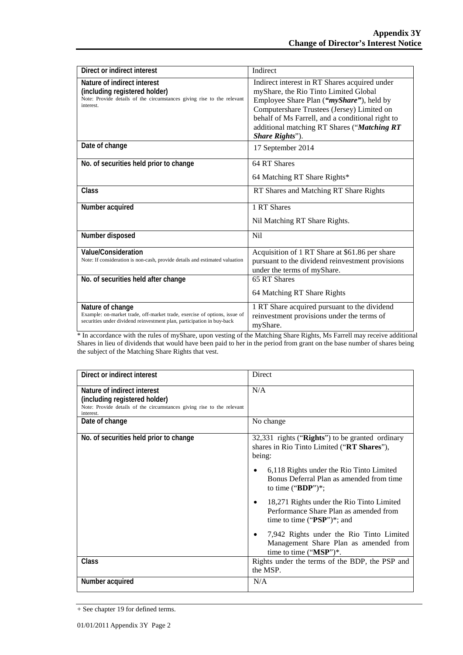| Direct or indirect interest                                                                                                                                             | Indirect                                                                                                                                                                                                                                                                                                        |
|-------------------------------------------------------------------------------------------------------------------------------------------------------------------------|-----------------------------------------------------------------------------------------------------------------------------------------------------------------------------------------------------------------------------------------------------------------------------------------------------------------|
| Nature of indirect interest<br>(including registered holder)<br>Note: Provide details of the circumstances giving rise to the relevant<br>interest.                     | Indirect interest in RT Shares acquired under<br>myShare, the Rio Tinto Limited Global<br>Employee Share Plan (" <i>myShare"</i> ), held by<br>Computershare Trustees (Jersey) Limited on<br>behalf of Ms Farrell, and a conditional right to<br>additional matching RT Shares ("Matching RT<br>Share Rights"). |
| Date of change                                                                                                                                                          | 17 September 2014                                                                                                                                                                                                                                                                                               |
| No. of securities held prior to change                                                                                                                                  | 64 RT Shares                                                                                                                                                                                                                                                                                                    |
|                                                                                                                                                                         | 64 Matching RT Share Rights*                                                                                                                                                                                                                                                                                    |
| Class                                                                                                                                                                   | RT Shares and Matching RT Share Rights                                                                                                                                                                                                                                                                          |
| Number acquired                                                                                                                                                         | 1 RT Shares                                                                                                                                                                                                                                                                                                     |
|                                                                                                                                                                         | Nil Matching RT Share Rights.                                                                                                                                                                                                                                                                                   |
| Number disposed                                                                                                                                                         | N <sub>i</sub>                                                                                                                                                                                                                                                                                                  |
| <b>Value/Consideration</b>                                                                                                                                              | Acquisition of 1 RT Share at \$61.86 per share                                                                                                                                                                                                                                                                  |
| Note: If consideration is non-cash, provide details and estimated valuation                                                                                             | pursuant to the dividend reinvestment provisions<br>under the terms of myShare.                                                                                                                                                                                                                                 |
| No. of securities held after change                                                                                                                                     | 65 RT Shares                                                                                                                                                                                                                                                                                                    |
|                                                                                                                                                                         | 64 Matching RT Share Rights                                                                                                                                                                                                                                                                                     |
| Nature of change<br>Example: on-market trade, off-market trade, exercise of options, issue of<br>securities under dividend reinvestment plan, participation in buy-back | 1 RT Share acquired pursuant to the dividend<br>reinvestment provisions under the terms of<br>myShare.                                                                                                                                                                                                          |

\* In accordance with the rules of myShare, upon vesting of the Matching Share Rights, Ms Farrell may receive additional Shares in lieu of dividends that would have been paid to her in the period from grant on the base number of shares being the subject of the Matching Share Rights that vest.

| Direct or indirect interest                                                                                                                         | Direct                                                                                                                             |
|-----------------------------------------------------------------------------------------------------------------------------------------------------|------------------------------------------------------------------------------------------------------------------------------------|
| Nature of indirect interest<br>(including registered holder)<br>Note: Provide details of the circumstances giving rise to the relevant<br>interest. | N/A                                                                                                                                |
| Date of change                                                                                                                                      | No change                                                                                                                          |
| No. of securities held prior to change                                                                                                              | 32,331 rights ("Rights") to be granted ordinary<br>shares in Rio Tinto Limited ("RT Shares"),<br>being:                            |
|                                                                                                                                                     | 6,118 Rights under the Rio Tinto Limited<br>٠<br>Bonus Deferral Plan as amended from time<br>to time (" $BDP$ ")*;                 |
|                                                                                                                                                     | 18,271 Rights under the Rio Tinto Limited<br>$\bullet$<br>Performance Share Plan as amended from<br>time to time (" $PSP$ ")*; and |
|                                                                                                                                                     | 7,942 Rights under the Rio Tinto Limited<br>$\bullet$<br>Management Share Plan as amended from<br>time to time $("MSP")^*$ .       |
| Class                                                                                                                                               | Rights under the terms of the BDP, the PSP and<br>the MSP.                                                                         |
| Number acquired                                                                                                                                     | N/A                                                                                                                                |

<sup>+</sup> See chapter 19 for defined terms.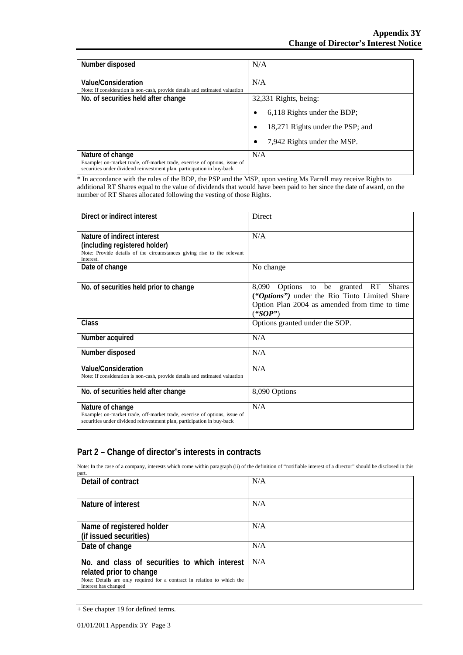| Number disposed                                                                                                                                                         | N/A                                   |
|-------------------------------------------------------------------------------------------------------------------------------------------------------------------------|---------------------------------------|
|                                                                                                                                                                         |                                       |
| Value/Consideration                                                                                                                                                     | N/A                                   |
| Note: If consideration is non-cash, provide details and estimated valuation                                                                                             |                                       |
| No. of securities held after change                                                                                                                                     | 32,331 Rights, being:                 |
|                                                                                                                                                                         | 6,118 Rights under the BDP;<br>٠      |
|                                                                                                                                                                         | 18,271 Rights under the PSP; and<br>٠ |
|                                                                                                                                                                         | 7,942 Rights under the MSP.           |
| Nature of change<br>Example: on-market trade, off-market trade, exercise of options, issue of<br>securities under dividend reinvestment plan, participation in buy-back | N/A                                   |

\* In accordance with the rules of the BDP, the PSP and the MSP, upon vesting Ms Farrell may receive Rights to additional RT Shares equal to the value of dividends that would have been paid to her since the date of award, on the number of RT Shares allocated following the vesting of those Rights.

| Direct or indirect interest                                                                                                                                             | <b>Direct</b>                                                                                                                                          |
|-------------------------------------------------------------------------------------------------------------------------------------------------------------------------|--------------------------------------------------------------------------------------------------------------------------------------------------------|
| Nature of indirect interest<br>(including registered holder)<br>Note: Provide details of the circumstances giving rise to the relevant<br>interest.                     | N/A                                                                                                                                                    |
| Date of change                                                                                                                                                          | No change                                                                                                                                              |
| No. of securities held prior to change                                                                                                                                  | Options to be granted RT Shares<br>8,090<br>("Options") under the Rio Tinto Limited Share<br>Option Plan 2004 as amended from time to time<br>(``SOP") |
| Class                                                                                                                                                                   | Options granted under the SOP.                                                                                                                         |
| Number acquired                                                                                                                                                         | N/A                                                                                                                                                    |
| Number disposed                                                                                                                                                         | N/A                                                                                                                                                    |
| <b>Value/Consideration</b><br>Note: If consideration is non-cash, provide details and estimated valuation                                                               | N/A                                                                                                                                                    |
| No. of securities held after change                                                                                                                                     | 8,090 Options                                                                                                                                          |
| Nature of change<br>Example: on-market trade, off-market trade, exercise of options, issue of<br>securities under dividend reinvestment plan, participation in buy-back | N/A                                                                                                                                                    |

### **Part 2 – Change of director's interests in contracts**

Note: In the case of a company, interests which come within paragraph (ii) of the definition of "notifiable interest of a director" should be disclosed in this part.

| Detail of contract                                                                                                                                                          | N/A |
|-----------------------------------------------------------------------------------------------------------------------------------------------------------------------------|-----|
| Nature of interest                                                                                                                                                          | N/A |
| Name of registered holder<br>(if issued securities)                                                                                                                         | N/A |
| Date of change                                                                                                                                                              | N/A |
| No. and class of securities to which interest<br>related prior to change<br>Note: Details are only required for a contract in relation to which the<br>interest has changed | N/A |

<sup>+</sup> See chapter 19 for defined terms.